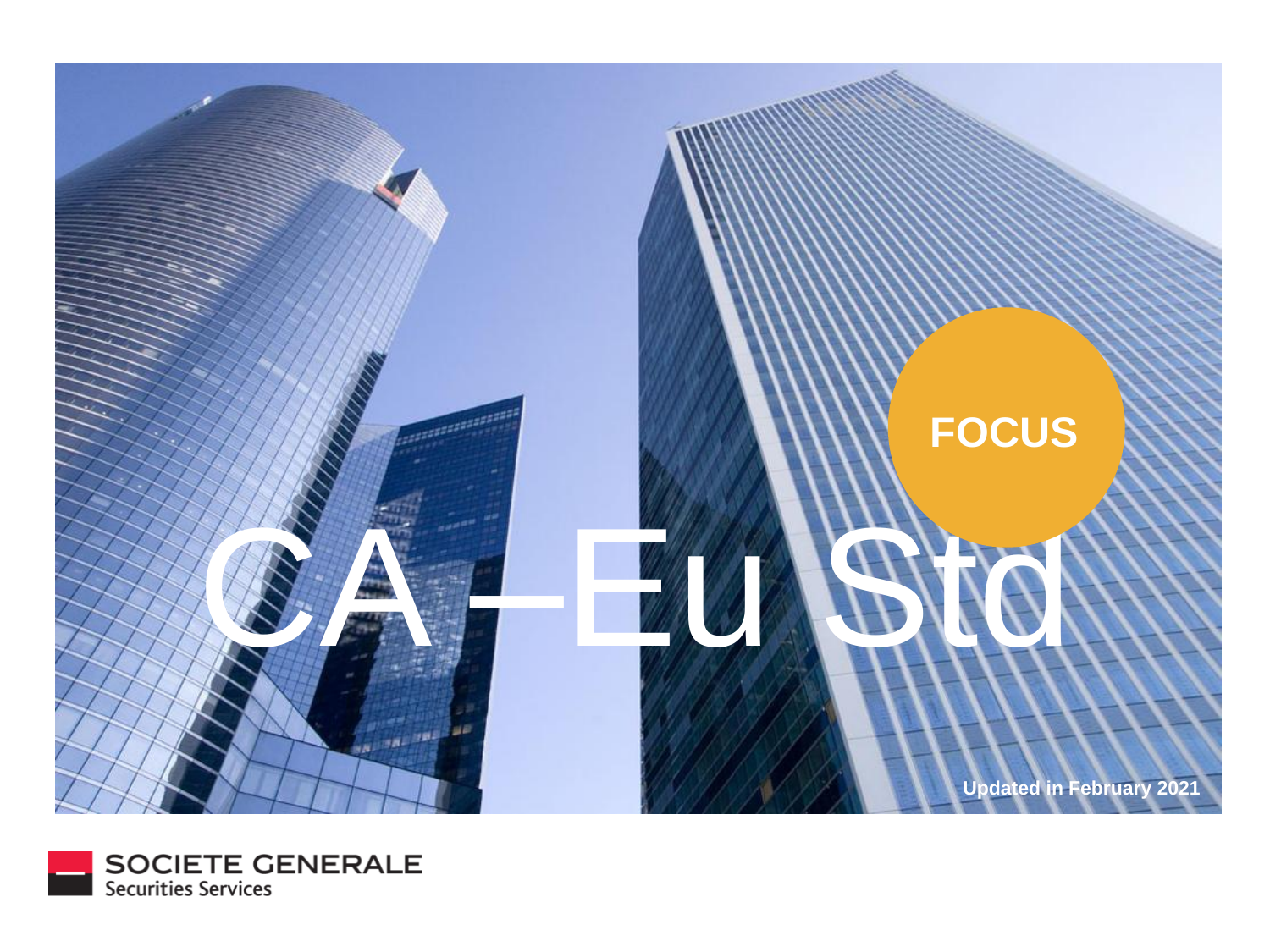

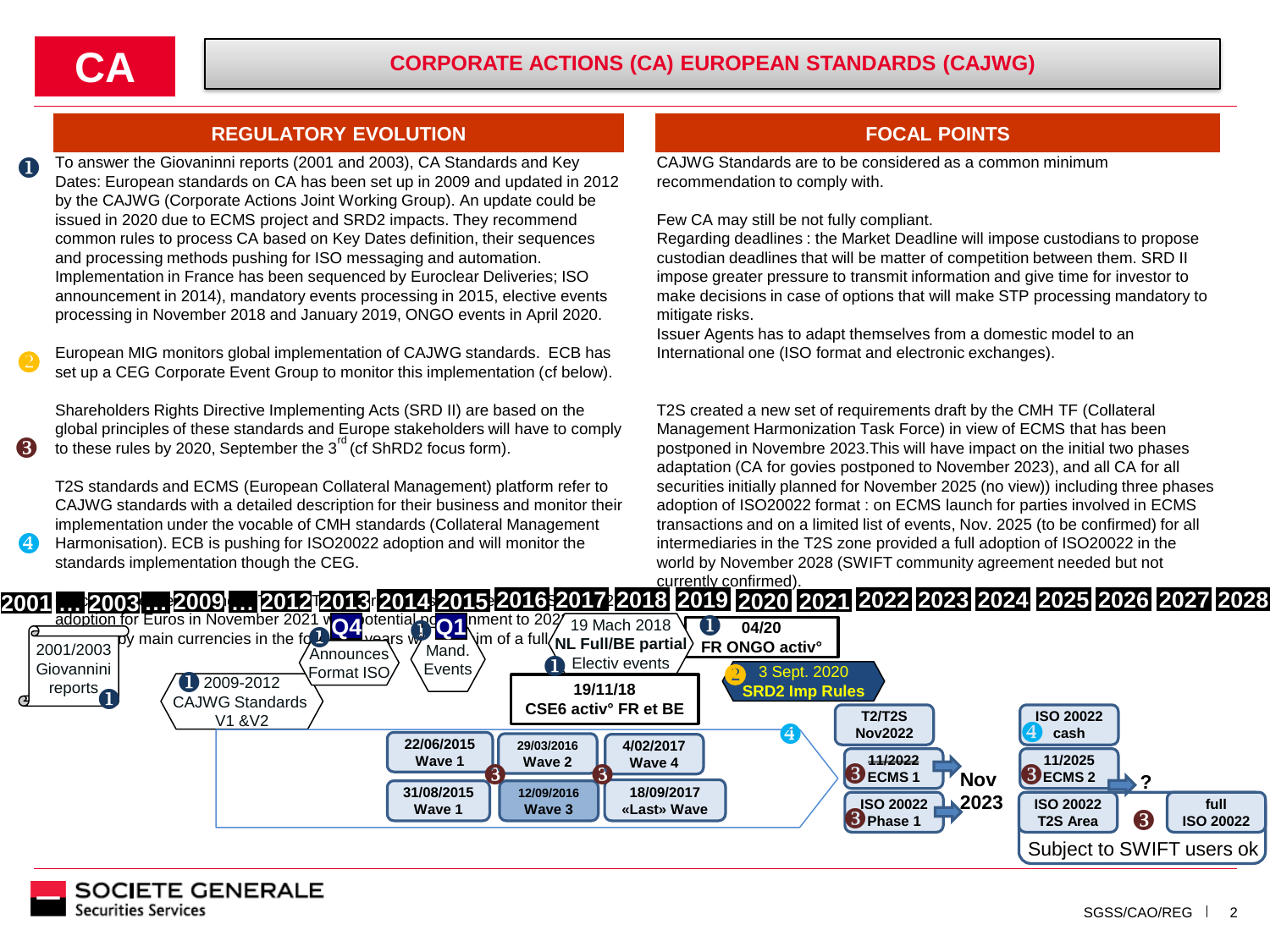w

 $\overline{A}$ 

## **REGULATORY EVOLUTION FOCAL POINTS**

To answer the Giovaninni reports (2001 and 2003), CA Standards and Key Dates: European standards on CA has been set up in 2009 and updated in 2012 by the CAJWG (Corporate Actions Joint Working Group). An update could be issued in 2020 due to ECMS project and SRD2 impacts. They recommend common rules to process CA based on Key Dates definition, their sequences and processing methods pushing for ISO messaging and automation. Implementation in France has been sequenced by Euroclear Deliveries; ISO announcement in 2014), mandatory events processing in 2015, elective events processing in November 2018 and January 2019, ONGO events in April 2020. u

European MIG monitors global implementation of CAJWG standards. ECB has set up a CEG Corporate Event Group to monitor this implementation (cf below).  $\bullet$ 

Shareholders Rights Directive Implementing Acts (SRD II) are based on the global principles of these standards and Europe stakeholders will have to comply to these rules by 2020, September the  $3<sup>rd</sup>$  (cf ShRD2 focus form).

T2S standards and ECMS (European Collateral Management) platform refer to CAJWG standards with a detailed description for their business and monitor their implementation under the vocable of CMH standards (Collateral Management Harmonisation). ECB is pushing for ISO20022 adoption and will monitor the standards implementation though the CEG.

CAJWG Standards are to be considered as a common minimum recommendation to comply with.

Few CA may still be not fully compliant.

Regarding deadlines : the Market Deadline will impose custodians to propose custodian deadlines that will be matter of competition between them. SRD II impose greater pressure to transmit information and give time for investor to make decisions in case of options that will make STP processing mandatory to mitigate risks.

Issuer Agents has to adapt themselves from a domestic model to an International one (ISO format and electronic exchanges).

T2S created a new set of requirements draft by the CMH TF (Collateral Management Harmonization Task Force) in view of ECMS that has been postponed in Novembre 2023.This will have impact on the initial two phases adaptation (CA for govies postponed to November 2023), and all CA for all securities initially planned for November 2025 (no view)) including three phases adoption of ISO20022 format : on ECMS launch for parties involved in ECMS transactions and on a limited list of events, Nov. 2025 (to be confirmed) for all intermediaries in the T2S zone provided a full adoption of ISO20022 in the world by November 2028 (SWIFT community agreement needed but not